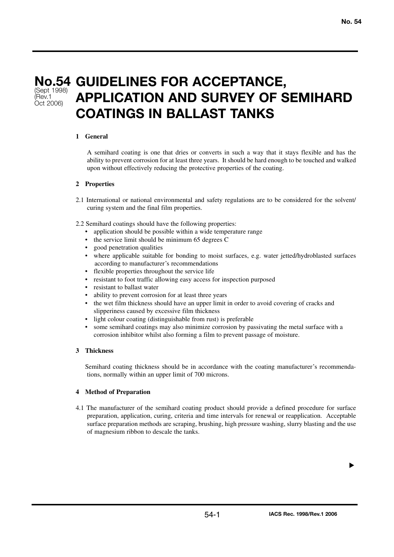(Sept 1998) (Rev.1 Oct 2006)

# **No.54 GUIDELINES FOR ACCEPTANCE, APPLICATION AND SURVEY OF SEMIHARD COATINGS IN BALLAST TANKS**

## **1 General**

A semihard coating is one that dries or converts in such a way that it stays flexible and has the ability to prevent corrosion for at least three years. It should be hard enough to be touched and walked upon without effectively reducing the protective properties of the coating.

### **2 Properties**

- 2.1 International or national environmental and safety regulations are to be considered for the solvent/ curing system and the final film properties.
- 2.2 Semihard coatings should have the following properties:
	- application should be possible within a wide temperature range
	- the service limit should be minimum 65 degrees C
	- good penetration qualities
	- where applicable suitable for bonding to moist surfaces, e.g. water jetted/hydroblasted surfaces according to manufacturer's recommendations
	- flexible properties throughout the service life
	- resistant to foot traffic allowing easy access for inspection purposed
	- resistant to ballast water
	- ability to prevent corrosion for at least three years
	- the wet film thickness should have an upper limit in order to avoid covering of cracks and slipperiness caused by excessive film thickness
	- light colour coating (distinguishable from rust) is preferable
	- some semihard coatings may also minimize corrosion by passivating the metal surface with a corrosion inhibitor whilst also forming a film to prevent passage of moisture.

### **3 Thickness**

Semihard coating thickness should be in accordance with the coating manufacturer's recommendations, normally within an upper limit of 700 microns.

### **4 Method of Preparation**

4.1 The manufacturer of the semihard coating product should provide a defined procedure for surface preparation, application, curing, criteria and time intervals for renewal or reapplication. Acceptable surface preparation methods are scraping, brushing, high pressure washing, slurry blasting and the use of magnesium ribbon to descale the tanks.

▼